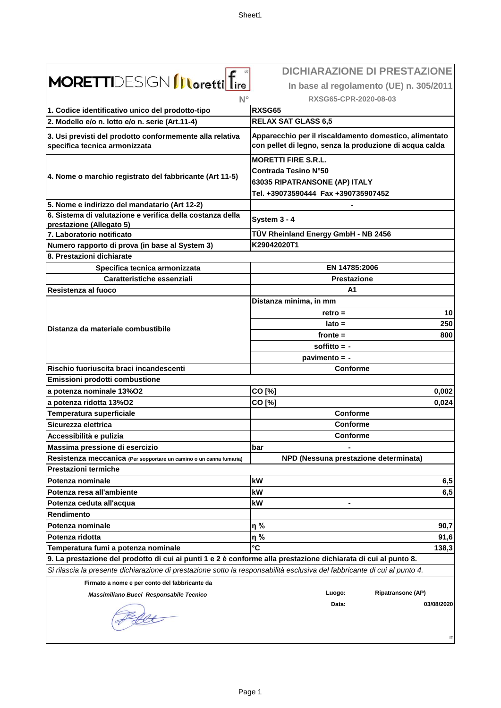|                                                                                                                           | <b>DICHIARAZIONE DI PRESTAZIONE</b>                                                                               |
|---------------------------------------------------------------------------------------------------------------------------|-------------------------------------------------------------------------------------------------------------------|
| <b>MORETTI</b> DESIGN <b>Illoretti</b> Tire<br>$N^{\circ}$                                                                | In base al regolamento (UE) n. 305/2011                                                                           |
|                                                                                                                           | RXSG65-CPR-2020-08-03                                                                                             |
| 1. Codice identificativo unico del prodotto-tipo                                                                          | <b>RXSG65</b>                                                                                                     |
| 2. Modello e/o n. lotto e/o n. serie (Art.11-4)                                                                           | <b>RELAX SAT GLASS 6,5</b>                                                                                        |
|                                                                                                                           |                                                                                                                   |
| 3. Usi previsti del prodotto conformemente alla relativa<br>specifica tecnica armonizzata                                 | Apparecchio per il riscaldamento domestico, alimentato<br>con pellet di legno, senza la produzione di acqua calda |
|                                                                                                                           | <b>MORETTI FIRE S.R.L.</b>                                                                                        |
| 4. Nome o marchio registrato del fabbricante (Art 11-5)                                                                   | <b>Contrada Tesino N°50</b>                                                                                       |
|                                                                                                                           | 63035 RIPATRANSONE (AP) ITALY                                                                                     |
|                                                                                                                           | Tel. +39073590444 Fax +390735907452                                                                               |
| 5. Nome e indirizzo del mandatario (Art 12-2)                                                                             |                                                                                                                   |
| 6. Sistema di valutazione e verifica della costanza della                                                                 | System 3 - 4                                                                                                      |
| prestazione (Allegato 5)<br>7. Laboratorio notificato                                                                     | TÜV Rheinland Energy GmbH - NB 2456                                                                               |
| Numero rapporto di prova (in base al System 3)                                                                            | K29042020T1                                                                                                       |
| 8. Prestazioni dichiarate                                                                                                 |                                                                                                                   |
| Specifica tecnica armonizzata                                                                                             | EN 14785:2006                                                                                                     |
| <b>Caratteristiche essenziali</b>                                                                                         | <b>Prestazione</b>                                                                                                |
| Resistenza al fuoco                                                                                                       | A1                                                                                                                |
|                                                                                                                           | Distanza minima, in mm                                                                                            |
|                                                                                                                           | 10<br>$retro =$                                                                                                   |
|                                                                                                                           | $lato =$<br>250                                                                                                   |
| Distanza da materiale combustibile                                                                                        | 800<br>$fronte =$                                                                                                 |
|                                                                                                                           | soffitto $= -$                                                                                                    |
|                                                                                                                           | pavimento = -                                                                                                     |
| Rischio fuoriuscita braci incandescenti                                                                                   | <b>Conforme</b>                                                                                                   |
| Emissioni prodotti combustione                                                                                            |                                                                                                                   |
| a potenza nominale 13%O2                                                                                                  | CO [%]<br>0,002                                                                                                   |
| a potenza ridotta 13%O2                                                                                                   | CO [%]<br>0,024                                                                                                   |
| Temperatura superficiale                                                                                                  | Conforme                                                                                                          |
| Sicurezza elettrica                                                                                                       | Conforme                                                                                                          |
| Accessibilità e pulizia                                                                                                   | Conforme                                                                                                          |
| Massima pressione di esercizio                                                                                            | bar                                                                                                               |
| Resistenza meccanica (Per sopportare un camino o un canna fumaria)                                                        | NPD (Nessuna prestazione determinata)                                                                             |
| <b>Prestazioni termiche</b>                                                                                               |                                                                                                                   |
| Potenza nominale                                                                                                          | kW<br>6,5                                                                                                         |
| Potenza resa all'ambiente                                                                                                 | 6,5<br>kW                                                                                                         |
| Potenza ceduta all'acqua                                                                                                  | kW                                                                                                                |
| Rendimento                                                                                                                |                                                                                                                   |
| Potenza nominale                                                                                                          | η%<br>90,7                                                                                                        |
| Potenza ridotta                                                                                                           | 91,6<br>η%                                                                                                        |
| Temperatura fumi a potenza nominale                                                                                       | °C<br>138,3                                                                                                       |
| 9. La prestazione del prodotto di cui ai punti 1 e 2 è conforme alla prestazione dichiarata di cui al punto 8.            |                                                                                                                   |
| Si rilascia la presente dichiarazione di prestazione sotto la responsabilità esclusiva del fabbricante di cui al punto 4. |                                                                                                                   |
| Firmato a nome e per conto del fabbricante da                                                                             |                                                                                                                   |
| Massimiliano Bucci Responsabile Tecnico                                                                                   | <b>Ripatransone (AP)</b><br>Luogo:                                                                                |
|                                                                                                                           | 03/08/2020<br>Data:                                                                                               |
|                                                                                                                           |                                                                                                                   |
|                                                                                                                           |                                                                                                                   |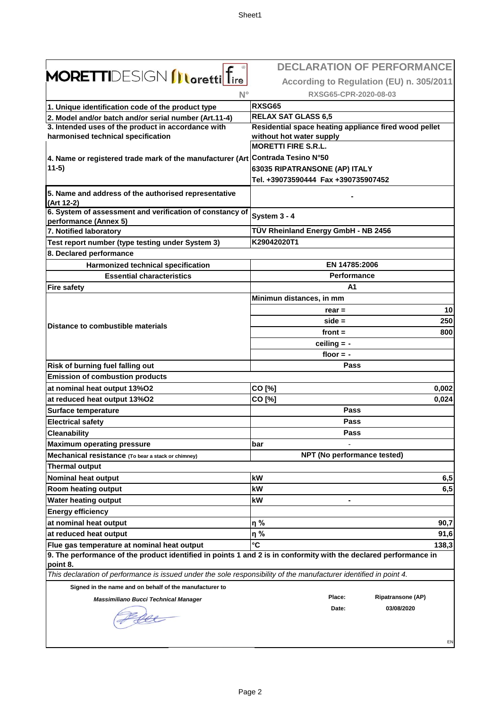$\Gamma$ 

|                                                                                                                                | <b>DECLARATION OF PERFORMANCE</b>                     |
|--------------------------------------------------------------------------------------------------------------------------------|-------------------------------------------------------|
| <b>MORETTI</b> DESIGN <i>[Loretti</i> ] fire                                                                                   | According to Regulation (EU) n. 305/2011              |
| $N^{\circ}$                                                                                                                    | RXSG65-CPR-2020-08-03                                 |
| 1. Unique identification code of the product type                                                                              | RXSG65                                                |
|                                                                                                                                | <b>RELAX SAT GLASS 6,5</b>                            |
| 2. Model and/or batch and/or serial number (Art.11-4)<br>3. Intended uses of the product in accordance with                    | Residential space heating appliance fired wood pellet |
| harmonised technical specification                                                                                             | without hot water supply                              |
|                                                                                                                                | <b>MORETTI FIRE S.R.L.</b>                            |
| 4. Name or registered trade mark of the manufacturer (Art Contrada Tesino N°50                                                 |                                                       |
| $11-5)$                                                                                                                        | 63035 RIPATRANSONE (AP) ITALY                         |
|                                                                                                                                | Tel. +39073590444 Fax +390735907452                   |
| 5. Name and address of the authorised representative<br>(Art 12-2)                                                             |                                                       |
| 6. System of assessment and verification of constancy of                                                                       |                                                       |
| performance (Annex 5)                                                                                                          | System 3 - 4                                          |
| 7. Notified laboratory                                                                                                         | TÜV Rheinland Energy GmbH - NB 2456                   |
| Test report number (type testing under System 3)                                                                               | K29042020T1                                           |
| 8. Declared performance                                                                                                        |                                                       |
| <b>Harmonized technical specification</b>                                                                                      | EN 14785:2006                                         |
| <b>Essential characteristics</b>                                                                                               | <b>Performance</b>                                    |
| <b>Fire safety</b>                                                                                                             | А1                                                    |
|                                                                                                                                | Minimun distances, in mm                              |
|                                                                                                                                | 10<br>$rear =$                                        |
| Distance to combustible materials                                                                                              | 250<br>$side =$                                       |
|                                                                                                                                | front $=$<br>800                                      |
|                                                                                                                                | ceiling $= -$                                         |
|                                                                                                                                | floor $= -$                                           |
| Risk of burning fuel falling out                                                                                               | Pass                                                  |
| <b>Emission of combustion products</b>                                                                                         |                                                       |
| at nominal heat output 13%O2                                                                                                   | CO [%]<br>0,002                                       |
| at reduced heat output 13%O2                                                                                                   | CO [%]<br>0,024                                       |
| <b>Surface temperature</b>                                                                                                     | Pass                                                  |
| <b>Electrical safety</b>                                                                                                       | Pass                                                  |
| <b>Cleanability</b>                                                                                                            | Pass                                                  |
| <b>Maximum operating pressure</b>                                                                                              | bar                                                   |
| Mechanical resistance (To bear a stack or chimney)                                                                             | NPT (No performance tested)                           |
| <b>Thermal output</b>                                                                                                          |                                                       |
| <b>Nominal heat output</b>                                                                                                     | kW<br>6,5                                             |
| Room heating output                                                                                                            | 6,5<br>kW                                             |
| <b>Water heating output</b>                                                                                                    | kW<br>۰                                               |
| <b>Energy efficiency</b>                                                                                                       |                                                       |
| at nominal heat output                                                                                                         | η%<br>90,7                                            |
| at reduced heat output                                                                                                         | η%<br>91,6                                            |
| Flue gas temperature at nominal heat output                                                                                    | $\mathbf{C}$<br>138,3                                 |
| 9. The performance of the product identified in points 1 and 2 is in conformity with the declared performance in               |                                                       |
| point 8.<br>This declaration of performance is issued under the sole responsibility of the manufacturer identified in point 4. |                                                       |
|                                                                                                                                |                                                       |
| Signed in the name and on behalf of the manufacturer to                                                                        | Place:<br><b>Ripatransone (AP)</b>                    |
| <b>Massimiliano Bucci Technical Manager</b>                                                                                    | Date:<br>03/08/2020                                   |
|                                                                                                                                |                                                       |
|                                                                                                                                |                                                       |
|                                                                                                                                | EN                                                    |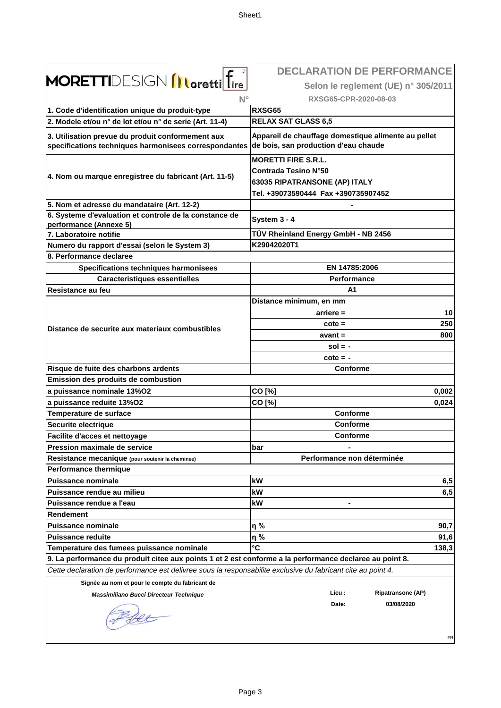|                                                                                                              | <b>DECLARATION DE PERFORMANCE</b>                                                           |
|--------------------------------------------------------------------------------------------------------------|---------------------------------------------------------------------------------------------|
| <b>MORETTI</b> DESIGN <i>[Loretti</i> ] fire                                                                 | Selon le reglement (UE) n° 305/2011                                                         |
| $N^{\circ}$                                                                                                  | RXSG65-CPR-2020-08-03                                                                       |
| 1. Code d'identification unique du produit-type                                                              | RXSG65                                                                                      |
| 2. Modele et/ou n° de lot et/ou n° de serie (Art. 11-4)                                                      | <b>RELAX SAT GLASS 6,5</b>                                                                  |
|                                                                                                              |                                                                                             |
| 3. Utilisation prevue du produit conformement aux<br>specifications techniques harmonisees correspondantes   | Appareil de chauffage domestique alimente au pellet<br>de bois, san production d'eau chaude |
|                                                                                                              | <b>MORETTI FIRE S.R.L.</b>                                                                  |
| 4. Nom ou marque enregistree du fabricant (Art. 11-5)                                                        | Contrada Tesino N°50                                                                        |
|                                                                                                              | 63035 RIPATRANSONE (AP) ITALY                                                               |
|                                                                                                              | Tel. +39073590444 Fax +390735907452                                                         |
| 5. Nom et adresse du mandataire (Art. 12-2)                                                                  |                                                                                             |
| 6. Systeme d'evaluation et controle de la constance de<br>performance (Annexe 5)                             | System 3 - 4                                                                                |
| 7. Laboratoire notifie                                                                                       | TÜV Rheinland Energy GmbH - NB 2456                                                         |
| Numero du rapport d'essai (selon le System 3)                                                                | K29042020T1                                                                                 |
| 8. Performance declaree                                                                                      |                                                                                             |
| Specifications techniques harmonisees                                                                        | EN 14785:2006                                                                               |
| <b>Caracteristiques essentielles</b>                                                                         | <b>Performance</b>                                                                          |
| Resistance au feu                                                                                            | A1                                                                                          |
|                                                                                                              | Distance minimum, en mm                                                                     |
|                                                                                                              | 10<br>$arriere =$                                                                           |
|                                                                                                              | 250<br>$\cot e =$                                                                           |
| Distance de securite aux materiaux combustibles                                                              | 800<br>$avant =$                                                                            |
|                                                                                                              | $sol = -$                                                                                   |
|                                                                                                              | $\cot e = -$                                                                                |
| Risque de fuite des charbons ardents                                                                         | <b>Conforme</b>                                                                             |
| Emission des produits de combustion                                                                          |                                                                                             |
| a puissance nominale 13%O2                                                                                   | CO [%]<br>0,002                                                                             |
| a puissance reduite 13%O2                                                                                    | CO [%]<br>0,024                                                                             |
| Temperature de surface                                                                                       | Conforme                                                                                    |
| Securite electrique                                                                                          | Conforme                                                                                    |
| Facilite d'acces et nettoyage                                                                                | <b>Conforme</b>                                                                             |
| Pression maximale de service                                                                                 | bar                                                                                         |
| Resistance mecanique (pour soutenir la cheminee)                                                             | Performance non déterminée                                                                  |
| <b>Performance thermique</b>                                                                                 |                                                                                             |
| <b>Puissance nominale</b>                                                                                    | kW<br>6,5                                                                                   |
| Puissance rendue au milieu                                                                                   | kW<br>6,5                                                                                   |
| Puissance rendue a l'eau                                                                                     | kW                                                                                          |
| Rendement                                                                                                    |                                                                                             |
| <b>Puissance nominale</b>                                                                                    | η%<br>90,7                                                                                  |
| <b>Puissance reduite</b>                                                                                     | η%<br>91,6                                                                                  |
| Temperature des fumees puissance nominale                                                                    | °C<br>138,3                                                                                 |
| 9. La performance du produit citee aux points 1 et 2 est conforme a la performance declaree au point 8.      |                                                                                             |
| Cette declaration de performance est delivree sous la responsabilite exclusive du fabricant cite au point 4. |                                                                                             |
| Signée au nom et pour le compte du fabricant de                                                              |                                                                                             |
| Massimiliano Bucci Directeur Technique                                                                       | <b>Ripatransone (AP)</b><br>Lieu :                                                          |
|                                                                                                              | Date:<br>03/08/2020                                                                         |
|                                                                                                              |                                                                                             |
|                                                                                                              |                                                                                             |
|                                                                                                              | FR                                                                                          |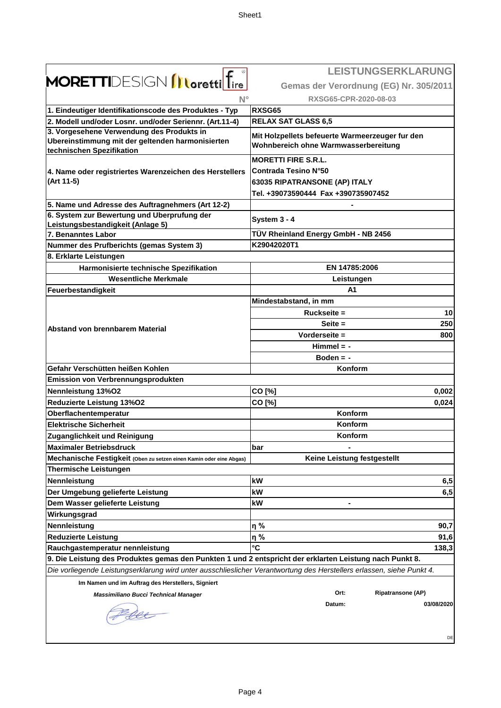|                                                                                                                            | <b>LEISTUNGSERKLARUNG</b>                                                               |
|----------------------------------------------------------------------------------------------------------------------------|-----------------------------------------------------------------------------------------|
| MORETTIDESIGN <i>[Loretti fire<sup>®</sup></i>                                                                             | Gemas der Verordnung (EG) Nr. 305/2011                                                  |
| $N^{\circ}$                                                                                                                | RXSG65-CPR-2020-08-03                                                                   |
| 1. Eindeutiger Identifikationscode des Produktes - Typ                                                                     | <b>RXSG65</b>                                                                           |
| 2. Modell und/oder Losnr. und/oder Seriennr. (Art.11-4)                                                                    | <b>RELAX SAT GLASS 6,5</b>                                                              |
| 3. Vorgesehene Verwendung des Produkts in<br>Ubereinstimmung mit der geltenden harmonisierten<br>technischen Spezifikation | Mit Holzpellets befeuerte Warmeerzeuger fur den<br>Wohnbereich ohne Warmwasserbereitung |
|                                                                                                                            | <b>MORETTI FIRE S.R.L.</b>                                                              |
| 4. Name oder registriertes Warenzeichen des Herstellers                                                                    | <b>Contrada Tesino N°50</b>                                                             |
| (Art 11-5)                                                                                                                 | 63035 RIPATRANSONE (AP) ITALY                                                           |
|                                                                                                                            | Tel. +39073590444 Fax +390735907452                                                     |
| 5. Name und Adresse des Auftragnehmers (Art 12-2)                                                                          |                                                                                         |
| 6. System zur Bewertung und Uberprufung der                                                                                | System 3 - 4                                                                            |
| Leistungsbestandigkeit (Anlage 5)<br>7. Benanntes Labor                                                                    | TÜV Rheinland Energy GmbH - NB 2456                                                     |
| Nummer des Prufberichts (gemas System 3)                                                                                   | K29042020T1                                                                             |
| 8. Erklarte Leistungen                                                                                                     |                                                                                         |
| Harmonisierte technische Spezifikation                                                                                     | EN 14785:2006                                                                           |
| <b>Wesentliche Merkmale</b>                                                                                                | Leistungen                                                                              |
| Feuerbestandigkeit                                                                                                         | A1                                                                                      |
|                                                                                                                            | Mindestabstand, in mm                                                                   |
|                                                                                                                            | Ruckseite =<br>10                                                                       |
|                                                                                                                            | Seite $=$<br>250                                                                        |
| Abstand von brennbarem Material                                                                                            | Vorderseite =<br>800                                                                    |
|                                                                                                                            | $Himmel = -$                                                                            |
|                                                                                                                            | Boden $= -$                                                                             |
| Gefahr Verschütten heißen Kohlen                                                                                           | Konform                                                                                 |
| Emission von Verbrennungsprodukten                                                                                         |                                                                                         |
| Nennleistung 13%O2                                                                                                         | CO [%]<br>0,002                                                                         |
| Reduzierte Leistung 13%02                                                                                                  | CO [%]<br>0,024                                                                         |
| Oberflachentemperatur                                                                                                      | Konform                                                                                 |
| <b>Elektrische Sicherheit</b>                                                                                              | Konform                                                                                 |
| Zuganglichkeit und Reinigung                                                                                               | Konform                                                                                 |
| <b>Maximaler Betriebsdruck</b>                                                                                             | bar                                                                                     |
| Mechanische Festigkeit (Oben zu setzen einen Kamin oder eine Abgas)<br><b>Thermische Leistungen</b>                        | Keine Leistung festgestellt                                                             |
| Nennleistung                                                                                                               | kW<br>6,5                                                                               |
| Der Umgebung gelieferte Leistung                                                                                           | kW<br>6,5                                                                               |
| Dem Wasser gelieferte Leistung                                                                                             | kW                                                                                      |
| Wirkungsgrad                                                                                                               |                                                                                         |
| Nennleistung                                                                                                               | η%<br>90,7                                                                              |
| <b>Reduzierte Leistung</b>                                                                                                 | ղ %<br>91,6                                                                             |
| Rauchgastemperatur nennleistung                                                                                            | °C<br>138,3                                                                             |
| 9. Die Leistung des Produktes gemas den Punkten 1 und 2 entspricht der erklarten Leistung nach Punkt 8.                    |                                                                                         |
| Die vorliegende Leistungserklarung wird unter ausschlieslicher Verantwortung des Herstellers erlassen, siehe Punkt 4.      |                                                                                         |
| Im Namen und im Auftrag des Herstellers, Signiert                                                                          |                                                                                         |
| <b>Massimiliano Bucci Technical Manager</b>                                                                                | Ripatransone (AP)<br>Ort:                                                               |
|                                                                                                                            | 03/08/2020<br>Datum:                                                                    |
|                                                                                                                            | DE                                                                                      |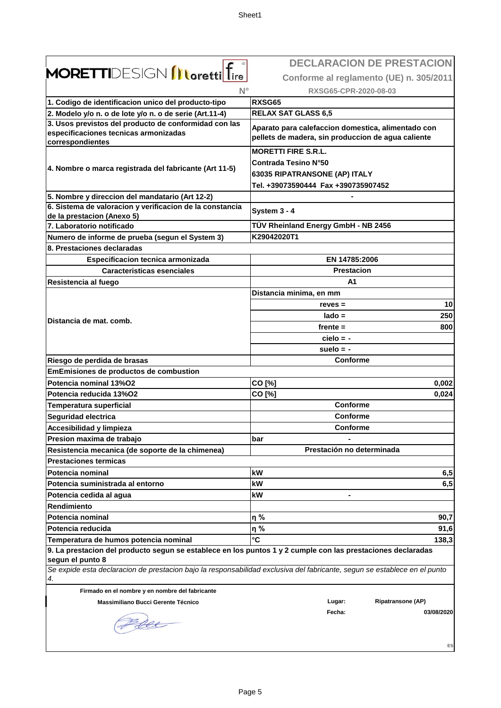|                                                                                                                                 | <b>DECLARACION DE PRESTACION</b>                                                                         |
|---------------------------------------------------------------------------------------------------------------------------------|----------------------------------------------------------------------------------------------------------|
| <b>MORETTI</b> DESIGN <i>[Loretti</i> ] fire                                                                                    | Conforme al reglamento (UE) n. 305/2011                                                                  |
| $N^{\circ}$                                                                                                                     | RXSG65-CPR-2020-08-03                                                                                    |
| 1. Codigo de identificacion unico del producto-tipo                                                                             | <b>RXSG65</b>                                                                                            |
| 2. Modelo y/o n. o de lote y/o n. o de serie (Art.11-4)                                                                         | <b>RELAX SAT GLASS 6,5</b>                                                                               |
| 3. Usos previstos del producto de conformidad con las                                                                           |                                                                                                          |
| especificaciones tecnicas armonizadas<br>correspondientes                                                                       | Aparato para calefaccion domestica, alimentado con<br>pellets de madera, sin produccion de agua caliente |
|                                                                                                                                 | <b>MORETTI FIRE S.R.L.</b>                                                                               |
|                                                                                                                                 | <b>Contrada Tesino N°50</b>                                                                              |
| 4. Nombre o marca registrada del fabricante (Art 11-5)                                                                          | 63035 RIPATRANSONE (AP) ITALY                                                                            |
|                                                                                                                                 | Tel. +39073590444 Fax +390735907452                                                                      |
| 5. Nombre y direccion del mandatario (Art 12-2)                                                                                 |                                                                                                          |
| 6. Sistema de valoracion y verificacion de la constancia                                                                        |                                                                                                          |
| de la prestacion (Anexo 5)                                                                                                      | System 3 - 4                                                                                             |
| 7. Laboratorio notificado                                                                                                       | TÜV Rheinland Energy GmbH - NB 2456                                                                      |
| Numero de informe de prueba (segun el System 3)                                                                                 | K29042020T1                                                                                              |
| 8. Prestaciones declaradas                                                                                                      |                                                                                                          |
| Especificacion tecnica armonizada                                                                                               | EN 14785:2006                                                                                            |
| <b>Caracteristicas esenciales</b>                                                                                               | <b>Prestacion</b>                                                                                        |
| Resistencia al fuego                                                                                                            | A1                                                                                                       |
|                                                                                                                                 | Distancia minima, en mm                                                                                  |
|                                                                                                                                 | 10<br>$reves =$                                                                                          |
| Distancia de mat. comb.                                                                                                         | 250<br>$lado =$                                                                                          |
|                                                                                                                                 | $f$ rente $=$<br>800                                                                                     |
|                                                                                                                                 | $cielo = -$                                                                                              |
|                                                                                                                                 | suelo $= -$                                                                                              |
| Riesgo de perdida de brasas                                                                                                     | Conforme                                                                                                 |
| <b>EmEmisiones de productos de combustion</b>                                                                                   |                                                                                                          |
| Potencia nominal 13%O2                                                                                                          | CO [%]<br>0,002                                                                                          |
| Potencia reducida 13%O2                                                                                                         | CO [%]<br>0,024                                                                                          |
| <b>Temperatura superficial</b>                                                                                                  | Conforme                                                                                                 |
| <b>Seguridad electrica</b>                                                                                                      | Conforme                                                                                                 |
| Accesibilidad y limpieza                                                                                                        | Conforme                                                                                                 |
| Presion maxima de trabajo                                                                                                       | bar                                                                                                      |
| Resistencia mecanica (de soporte de la chimenea)                                                                                | Prestación no determinada                                                                                |
| <b>Prestaciones termicas</b>                                                                                                    |                                                                                                          |
| Potencia nominal                                                                                                                | kW<br>6,5                                                                                                |
| Potencia suministrada al entorno                                                                                                | 6,5<br>kW                                                                                                |
| Potencia cedida al agua                                                                                                         | kW                                                                                                       |
| <b>Rendimiento</b>                                                                                                              |                                                                                                          |
| Potencia nominal                                                                                                                | η%<br>90,7                                                                                               |
| Potencia reducida                                                                                                               | η%<br>91,6                                                                                               |
| Temperatura de humos potencia nominal                                                                                           | $\mathbf{C}$<br>138,3                                                                                    |
| 9. La prestacion del producto segun se establece en los puntos 1 y 2 cumple con las prestaciones declaradas                     |                                                                                                          |
| segun el punto 8                                                                                                                |                                                                                                          |
| Se expide esta declaracion de prestacion bajo la responsabilidad exclusiva del fabricante, segun se establece en el punto<br>4. |                                                                                                          |
| Firmado en el nombre y en nombre del fabricante                                                                                 |                                                                                                          |
| Massimiliano Bucci Gerente Técnico                                                                                              | <b>Ripatransone (AP)</b><br>Lugar:                                                                       |
|                                                                                                                                 | Fecha:<br>03/08/2020                                                                                     |
|                                                                                                                                 |                                                                                                          |
|                                                                                                                                 |                                                                                                          |
|                                                                                                                                 | ES                                                                                                       |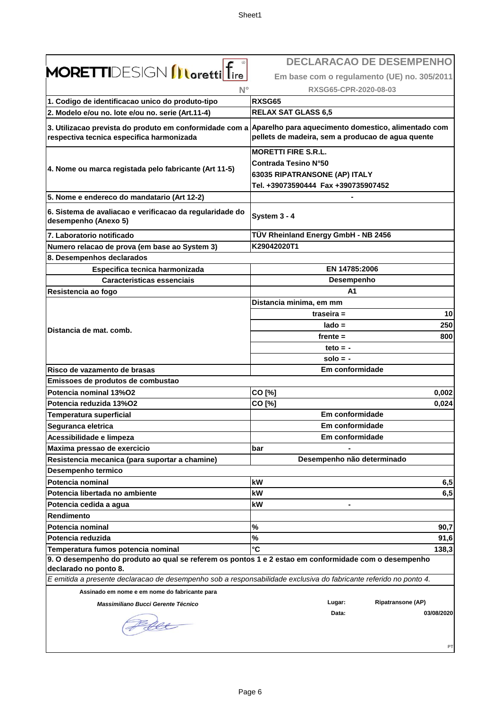|                                                                                                                   | <b>DECLARACAO DE DESEMPENHO</b>                                                                                                                                  |
|-------------------------------------------------------------------------------------------------------------------|------------------------------------------------------------------------------------------------------------------------------------------------------------------|
| <b>MORETTI</b> DESIGN <b>INoretti</b> fire                                                                        | Em base com o regulamento (UE) no. 305/2011                                                                                                                      |
| $N^{\circ}$                                                                                                       | RXSG65-CPR-2020-08-03                                                                                                                                            |
| 1. Codigo de identificacao unico do produto-tipo                                                                  | RXSG65                                                                                                                                                           |
| 2. Modelo e/ou no. lote e/ou no. serie (Art.11-4)                                                                 | <b>RELAX SAT GLASS 6,5</b>                                                                                                                                       |
| respectiva tecnica especifica harmonizada                                                                         | 3. Utilizacao prevista do produto em conformidade com a Aparelho para aquecimento domestico, alimentado com<br>pellets de madeira, sem a producao de agua quente |
| 4. Nome ou marca registada pelo fabricante (Art 11-5)                                                             | <b>MORETTI FIRE S.R.L.</b><br><b>Contrada Tesino N°50</b><br>63035 RIPATRANSONE (AP) ITALY<br>Tel. +39073590444 Fax +390735907452                                |
| 5. Nome e endereco do mandatario (Art 12-2)                                                                       |                                                                                                                                                                  |
| 6. Sistema de avaliacao e verificacao da regularidade do<br>desempenho (Anexo 5)                                  | System 3 - 4                                                                                                                                                     |
| 7. Laboratorio notificado                                                                                         | TÜV Rheinland Energy GmbH - NB 2456                                                                                                                              |
| Numero relacao de prova (em base ao System 3)                                                                     | K29042020T1                                                                                                                                                      |
| 8. Desempenhos declarados                                                                                         |                                                                                                                                                                  |
| Especifica tecnica harmonizada                                                                                    | EN 14785:2006                                                                                                                                                    |
| <b>Caracteristicas essenciais</b>                                                                                 | Desempenho                                                                                                                                                       |
| Resistencia ao fogo                                                                                               | A1                                                                                                                                                               |
|                                                                                                                   | Distancia minima, em mm                                                                                                                                          |
|                                                                                                                   | 10<br>traseira =                                                                                                                                                 |
| Distancia de mat. comb.                                                                                           | 250<br>$lado =$                                                                                                                                                  |
|                                                                                                                   | 800<br>frente $=$                                                                                                                                                |
|                                                                                                                   | teto $= -$                                                                                                                                                       |
|                                                                                                                   | $solo = -$                                                                                                                                                       |
| Risco de vazamento de brasas                                                                                      | Em conformidade                                                                                                                                                  |
| Emissoes de produtos de combustao                                                                                 |                                                                                                                                                                  |
| Potencia nominal 13%O2                                                                                            | CO [%]<br>0,002                                                                                                                                                  |
| Potencia reduzida 13%O2                                                                                           | CO [%]<br>0,024                                                                                                                                                  |
| <b>Temperatura superficial</b>                                                                                    | Em conformidade                                                                                                                                                  |
| Seguranca eletrica                                                                                                | Em conformidade                                                                                                                                                  |
| Acessibilidade e limpeza                                                                                          | Em conformidade                                                                                                                                                  |
| Maxima pressao de exercicio                                                                                       | bar                                                                                                                                                              |
| Resistencia mecanica (para suportar a chamine)                                                                    | Desempenho não determinado                                                                                                                                       |
| Desempenho termico                                                                                                |                                                                                                                                                                  |
| <b>Potencia nominal</b><br>Potencia libertada no ambiente                                                         | kW<br>6,5                                                                                                                                                        |
|                                                                                                                   | kW<br>6,5<br>kW                                                                                                                                                  |
| Potencia cedida a agua                                                                                            |                                                                                                                                                                  |
| Rendimento<br>Potencia nominal                                                                                    | $\%$<br>90,7                                                                                                                                                     |
| Potencia reduzida                                                                                                 | $\%$<br>91,6                                                                                                                                                     |
| Temperatura fumos potencia nominal                                                                                | °C<br>138,3                                                                                                                                                      |
| 9. O desempenho do produto ao qual se referem os pontos 1 e 2 estao em conformidade com o desempenho              |                                                                                                                                                                  |
| declarado no ponto 8.                                                                                             |                                                                                                                                                                  |
| E emitida a presente declaracao de desempenho sob a responsabilidade exclusiva do fabricante referido no ponto 4. |                                                                                                                                                                  |
| Assinado em nome e em nome do fabricante para                                                                     |                                                                                                                                                                  |
| Massimiliano Bucci Gerente Técnico                                                                                | Ripatransone (AP)<br>Lugar:                                                                                                                                      |
|                                                                                                                   | Data:<br>03/08/2020                                                                                                                                              |
|                                                                                                                   | PT                                                                                                                                                               |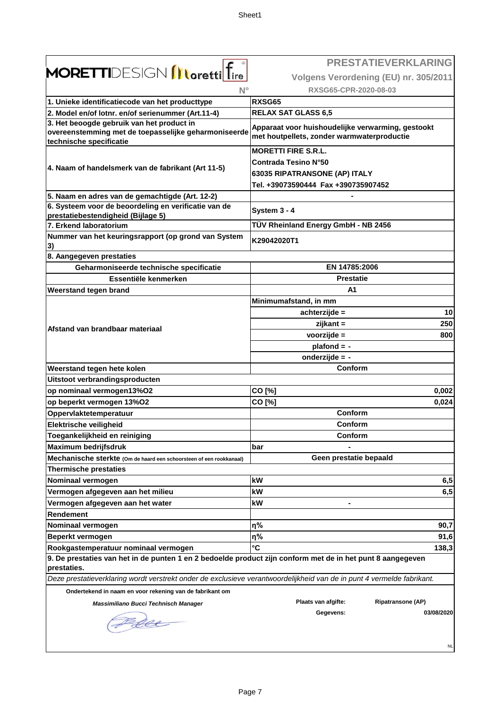|                                                                                                                                                    | <b>PRESTATIEVERKLARING</b>                                                                      |
|----------------------------------------------------------------------------------------------------------------------------------------------------|-------------------------------------------------------------------------------------------------|
| <b>MORETTI</b> DESIGN <b>Illoretti</b> ltire                                                                                                       | Volgens Verordening (EU) nr. 305/2011                                                           |
| $N^{\circ}$                                                                                                                                        | RXSG65-CPR-2020-08-03                                                                           |
| 1. Unieke identificatiecode van het producttype                                                                                                    | <b>RXSG65</b>                                                                                   |
| 2. Model en/of lotnr. en/of serienummer (Art.11-4)                                                                                                 | <b>RELAX SAT GLASS 6,5</b>                                                                      |
| 3. Het beoogde gebruik van het product in                                                                                                          |                                                                                                 |
| overeenstemming met de toepasselijke geharmoniseerde<br>technische specificatie                                                                    | Apparaat voor huishoudelijke verwarming, gestookt<br>met houtpellets, zonder warmwaterproductie |
|                                                                                                                                                    | <b>MORETTI FIRE S.R.L.</b>                                                                      |
| 4. Naam of handelsmerk van de fabrikant (Art 11-5)                                                                                                 | <b>Contrada Tesino N°50</b>                                                                     |
|                                                                                                                                                    | 63035 RIPATRANSONE (AP) ITALY                                                                   |
|                                                                                                                                                    | Tel. +39073590444 Fax +390735907452                                                             |
| 5. Naam en adres van de gemachtigde (Art. 12-2)                                                                                                    |                                                                                                 |
| 6. Systeem voor de beoordeling en verificatie van de<br>prestatiebestendigheid (Bijlage 5)                                                         | System 3 - 4                                                                                    |
| 7. Erkend laboratorium                                                                                                                             | TÜV Rheinland Energy GmbH - NB 2456                                                             |
| Nummer van het keuringsrapport (op grond van System<br>3)                                                                                          | K29042020T1                                                                                     |
| 8. Aangegeven prestaties                                                                                                                           |                                                                                                 |
| Geharmoniseerde technische specificatie                                                                                                            | EN 14785:2006                                                                                   |
| Essentiële kenmerken                                                                                                                               | Prestatie                                                                                       |
| Weerstand tegen brand                                                                                                                              | A <sub>1</sub>                                                                                  |
|                                                                                                                                                    | Minimumafstand, in mm                                                                           |
|                                                                                                                                                    | 10<br>achterzijde =                                                                             |
| Afstand van brandbaar materiaal                                                                                                                    | 250<br>zijkant =                                                                                |
|                                                                                                                                                    | voorzijde =<br>800                                                                              |
|                                                                                                                                                    | $plafond = -$                                                                                   |
|                                                                                                                                                    | onderzijde = -                                                                                  |
| Weerstand tegen hete kolen                                                                                                                         | Conform                                                                                         |
| Uitstoot verbrandingsproducten                                                                                                                     |                                                                                                 |
| op nominaal vermogen13%O2                                                                                                                          | CO [%]<br>0,002                                                                                 |
| op beperkt vermogen 13%O2                                                                                                                          | CO [%]<br>0,024                                                                                 |
| Oppervlaktetemperatuur                                                                                                                             | Conform                                                                                         |
| Elektrische veiligheid                                                                                                                             | Conform                                                                                         |
| Toegankelijkheid en reiniging                                                                                                                      | Conform                                                                                         |
| <b>Maximum bedrijfsdruk</b>                                                                                                                        | bar                                                                                             |
| Mechanische sterkte (Om de haard een schoorsteen of een rookkanaal)                                                                                | Geen prestatie bepaald                                                                          |
| <b>Thermische prestaties</b>                                                                                                                       |                                                                                                 |
| Nominaal vermogen                                                                                                                                  | kW<br>6,5                                                                                       |
| Vermogen afgegeven aan het milieu                                                                                                                  | kW<br>6,5                                                                                       |
| Vermogen afgegeven aan het water                                                                                                                   | kW                                                                                              |
| <b>Rendement</b>                                                                                                                                   |                                                                                                 |
| Nominaal vermogen                                                                                                                                  | η%<br>90,7                                                                                      |
| Beperkt vermogen                                                                                                                                   | η%<br>91,6<br>°C                                                                                |
| Rookgastemperatuur nominaal vermogen<br>9. De prestaties van het in de punten 1 en 2 bedoelde product zijn conform met de in het punt 8 aangegeven | 138,3                                                                                           |
| prestaties.                                                                                                                                        |                                                                                                 |
| Deze prestatieverklaring wordt verstrekt onder de exclusieve verantwoordelijkheid van de in punt 4 vermelde fabrikant.                             |                                                                                                 |
| Ondertekend in naam en voor rekening van de fabrikant om                                                                                           |                                                                                                 |
| Massimiliano Bucci Technisch Manager                                                                                                               | Plaats van afgifte:<br>Ripatransone (AP)                                                        |
|                                                                                                                                                    | Gegevens:<br>03/08/2020                                                                         |
| rec                                                                                                                                                |                                                                                                 |
|                                                                                                                                                    |                                                                                                 |
|                                                                                                                                                    | <b>NL</b>                                                                                       |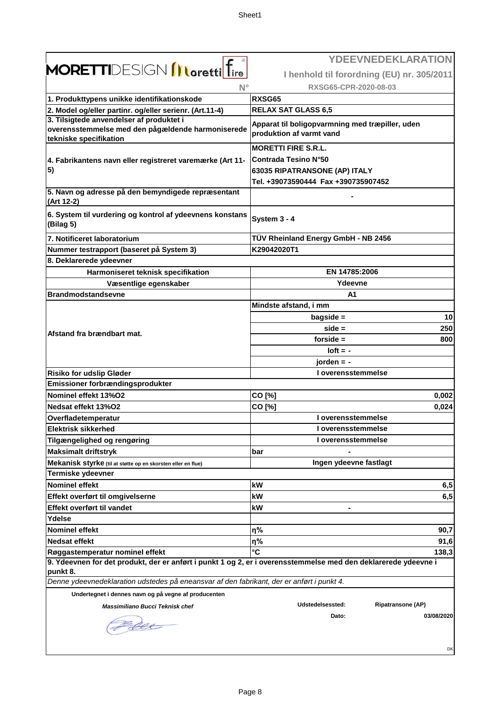|                                                                                                                                                   | <b>YDEEVNEDEKLARATION</b>                                                   |
|---------------------------------------------------------------------------------------------------------------------------------------------------|-----------------------------------------------------------------------------|
| <b>MORETTI</b> DESIGN <b>Illoretti</b> Tire                                                                                                       | I henhold til forordning (EU) nr. 305/2011                                  |
| $N^{\circ}$                                                                                                                                       | RXSG65-CPR-2020-08-03                                                       |
| 1. Produkttypens unikke identifikationskode                                                                                                       | RXSG65                                                                      |
| 2. Model og/eller partinr. og/eller serienr. (Art.11-4)                                                                                           | <b>RELAX SAT GLASS 6,5</b>                                                  |
| 3. Tilsigtede anvendelser af produktet i                                                                                                          |                                                                             |
| overensstemmelse med den pågældende harmoniserede<br>tekniske specifikation                                                                       | Apparat til boligopvarmning med træpiller, uden<br>produktion af varmt vand |
|                                                                                                                                                   | <b>MORETTI FIRE S.R.L.</b>                                                  |
| 4. Fabrikantens navn eller registreret varemærke (Art 11-                                                                                         | <b>Contrada Tesino N°50</b>                                                 |
| 5)                                                                                                                                                | 63035 RIPATRANSONE (AP) ITALY                                               |
|                                                                                                                                                   | Tel. +39073590444 Fax +390735907452                                         |
| 5. Navn og adresse på den bemyndigede repræsentant<br>(Art 12-2)                                                                                  |                                                                             |
| 6. System til vurdering og kontrol af ydeevnens konstans<br>(Bilag 5)                                                                             | System 3 - 4                                                                |
| 7. Notificeret laboratorium                                                                                                                       | TÜV Rheinland Energy GmbH - NB 2456                                         |
| Nummer testrapport (baseret på System 3)                                                                                                          | K29042020T1                                                                 |
| 8. Deklarerede ydeevner                                                                                                                           |                                                                             |
| Harmoniseret teknisk specifikation                                                                                                                | EN 14785:2006                                                               |
| Væsentlige egenskaber                                                                                                                             | Ydeevne                                                                     |
| <b>Brandmodstandsevne</b>                                                                                                                         | A1                                                                          |
|                                                                                                                                                   | Mindste afstand, i mm                                                       |
|                                                                                                                                                   | $bagside =$<br>10                                                           |
| Afstand fra brændbart mat.                                                                                                                        | $side =$<br>250                                                             |
|                                                                                                                                                   | forside $=$<br>800                                                          |
|                                                                                                                                                   | $I$ oft = -                                                                 |
|                                                                                                                                                   | jorden $= -$                                                                |
| <b>Risiko for udslip Gløder</b>                                                                                                                   | I overensstemmelse                                                          |
| Emissioner forbrændingsprodukter                                                                                                                  |                                                                             |
| Nominel effekt 13%O2                                                                                                                              | CO [%]<br>0,002                                                             |
| Nedsat effekt 13%O2                                                                                                                               | CO [%]<br>0,024                                                             |
| Overfladetemperatur                                                                                                                               | I overensstemmelse                                                          |
| <b>Elektrisk sikkerhed</b>                                                                                                                        | I overensstemmelse                                                          |
| Tilgængelighed og rengøring                                                                                                                       | I overensstemmelse                                                          |
| <b>Maksimalt driftstryk</b>                                                                                                                       | bar                                                                         |
| Mekanisk styrke (til at støtte op en skorsten eller en flue)                                                                                      | Ingen ydeevne fastlagt                                                      |
| Termiske ydeevner                                                                                                                                 |                                                                             |
| <b>Nominel effekt</b>                                                                                                                             | kW<br>6,5                                                                   |
| Effekt overført til omgivelserne                                                                                                                  | kW<br>6,5                                                                   |
| Effekt overført til vandet                                                                                                                        | kW                                                                          |
| Ydelse                                                                                                                                            |                                                                             |
| <b>Nominel effekt</b>                                                                                                                             | η%<br>90,7                                                                  |
| <b>Nedsat effekt</b>                                                                                                                              | η%<br>91,6                                                                  |
| Røggastemperatur nominel effekt<br>9. Ydeevnen for det produkt, der er anført i punkt 1 og 2, er i overensstemmelse med den deklarerede ydeevne i | °C<br>138,3                                                                 |
| punkt 8.                                                                                                                                          |                                                                             |
| Denne ydeevnedeklaration udstedes på eneansvar af den fabrikant, der er anført i punkt 4.                                                         |                                                                             |
| Undertegnet i dennes navn og på vegne af producenten                                                                                              |                                                                             |
| Massimiliano Bucci Teknisk chef                                                                                                                   | Udstedelsessted:<br><b>Ripatransone (AP)</b>                                |
|                                                                                                                                                   | Dato:<br>03/08/2020                                                         |
|                                                                                                                                                   | DK                                                                          |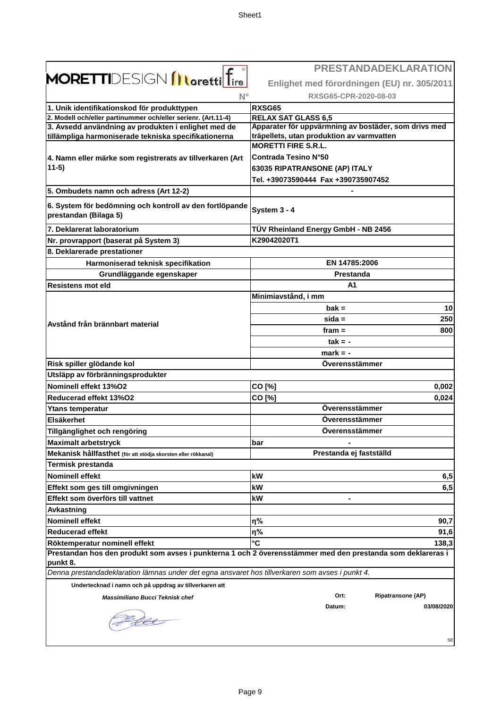|                                                                                                            | <b>PRESTANDADEKLARATION</b>                          |
|------------------------------------------------------------------------------------------------------------|------------------------------------------------------|
| <b>MORETTI</b> DESIGN <b>Illoretti</b> lfire                                                               | Enlighet med förordningen (EU) nr. 305/2011          |
| $N^{\circ}$                                                                                                | RXSG65-CPR-2020-08-03                                |
| 1. Unik identifikationskod för produkttypen                                                                | RXSG65                                               |
| 2. Modell och/eller partinummer och/eller serienr. (Art.11-4)                                              | <b>RELAX SAT GLASS 6,5</b>                           |
| 3. Avsedd användning av produkten i enlighet med de                                                        | Apparater för uppvärmning av bostäder, som drivs med |
| tillämpliga harmoniserade tekniska specifikationerna                                                       | träpellets, utan produktion av varmvatten            |
|                                                                                                            | <b>MORETTI FIRE S.R.L.</b>                           |
| 4. Namn eller märke som registrerats av tillverkaren (Art                                                  | Contrada Tesino N°50                                 |
| $11-5)$                                                                                                    | 63035 RIPATRANSONE (AP) ITALY                        |
|                                                                                                            | Tel. +39073590444 Fax +390735907452                  |
| 5. Ombudets namn och adress (Art 12-2)                                                                     |                                                      |
| 6. System för bedömning och kontroll av den fortlöpande                                                    |                                                      |
| prestandan (Bilaga 5)                                                                                      | System 3 - 4                                         |
| 7. Deklarerat laboratorium                                                                                 | TÜV Rheinland Energy GmbH - NB 2456                  |
| Nr. provrapport (baserat på System 3)                                                                      | K29042020T1                                          |
| 8. Deklarerade prestationer                                                                                |                                                      |
| Harmoniserad teknisk specifikation                                                                         | EN 14785:2006                                        |
| Grundläggande egenskaper                                                                                   | Prestanda                                            |
| <b>Resistens mot eld</b>                                                                                   | A <sub>1</sub>                                       |
|                                                                                                            | Minimiavstånd, i mm                                  |
|                                                                                                            | $\mathbf{b}$ ak =<br>10                              |
|                                                                                                            | 250<br>$sida =$                                      |
| Avstånd från brännbart material                                                                            | fram $=$<br>800                                      |
|                                                                                                            |                                                      |
|                                                                                                            | $tak = -$                                            |
|                                                                                                            | $mark = -$                                           |
| Risk spiller glödande kol                                                                                  | Överensstämmer                                       |
| Utsläpp av förbränningsprodukter                                                                           |                                                      |
| Nominell effekt 13%O2                                                                                      | CO [%]<br>0,002                                      |
| Reducerad effekt 13%O2                                                                                     | CO [%]<br>0,024                                      |
| <b>Ytans temperatur</b>                                                                                    | Överensstämmer                                       |
| <b>Elsäkerhet</b>                                                                                          | Överensstämmer                                       |
| Tillgänglighet och rengöring                                                                               | Överensstämmer                                       |
| <b>Maximalt arbetstryck</b>                                                                                | bar                                                  |
| Mekanisk hållfasthet (för att stödja skorsten eller rökkanal)                                              | Prestanda ej fastställd                              |
| <b>Termisk prestanda</b>                                                                                   |                                                      |
| <b>Nominell effekt</b>                                                                                     | kW<br>6,5                                            |
| Effekt som ges till omgivningen                                                                            | 6,5<br>kW                                            |
| Effekt som överförs till vattnet                                                                           | kW                                                   |
| <b>Avkastning</b>                                                                                          |                                                      |
| <b>Nominell effekt</b>                                                                                     | η%<br>90,7                                           |
| <b>Reducerad effekt</b>                                                                                    | η%<br>91,6                                           |
| Röktemperatur nominell effekt                                                                              | °C<br>138,3                                          |
| Prestandan hos den produkt som avses i punkterna 1 och 2 överensstämmer med den prestanda som deklareras i |                                                      |
| punkt 8.                                                                                                   |                                                      |
| Denna prestandadeklaration lämnas under det egna ansvaret hos tillverkaren som avses i punkt 4.            |                                                      |
| Undertecknad i namn och på uppdrag av tillverkaren att                                                     |                                                      |
| Massimiliano Bucci Teknisk chef                                                                            | Ort:<br><b>Ripatransone (AP)</b>                     |
|                                                                                                            | 03/08/2020<br>Datum:                                 |
|                                                                                                            |                                                      |
|                                                                                                            |                                                      |
|                                                                                                            | SE                                                   |